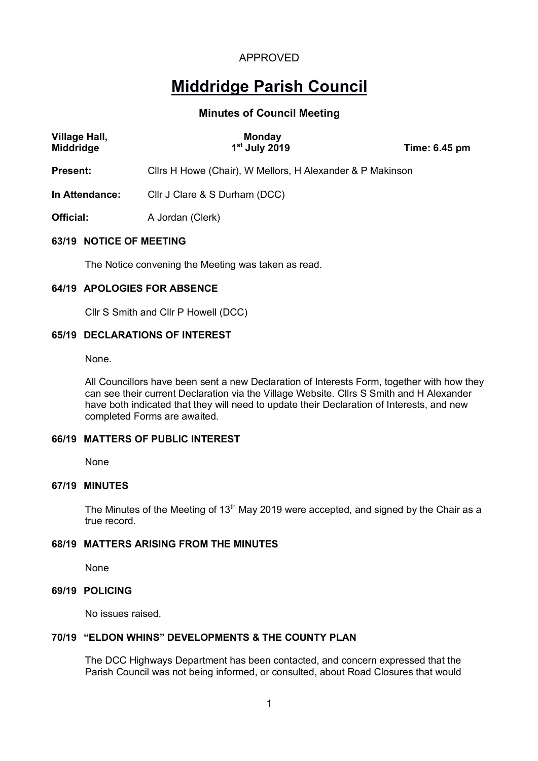# APPROVED

# **Middridge Parish Council**

## **Minutes of Council Meeting**

| <b>Village Hall,</b><br><b>Middridge</b> | <b>Monday</b><br>$1st$ July 2019                          | Time: 6.45 pm |  |
|------------------------------------------|-----------------------------------------------------------|---------------|--|
| <b>Present:</b>                          | Cllrs H Howe (Chair), W Mellors, H Alexander & P Makinson |               |  |
| In Attendance:                           | Cllr J Clare & S Durham (DCC)                             |               |  |
| <b>Official:</b>                         | A Jordan (Clerk)                                          |               |  |
| .                                        |                                                           |               |  |

#### **63/19 NOTICE OF MEETING**

The Notice convening the Meeting was taken as read.

### **64/19 APOLOGIES FOR ABSENCE**

Cllr S Smith and Cllr P Howell (DCC)

## **65/19 DECLARATIONS OF INTEREST**

None.

All Councillors have been sent a new Declaration of Interests Form, together with how they can see their current Declaration via the Village Website. Cllrs S Smith and H Alexander have both indicated that they will need to update their Declaration of Interests, and new completed Forms are awaited.

### **66/19 MATTERS OF PUBLIC INTEREST**

None

### **67/19 MINUTES**

The Minutes of the Meeting of 13<sup>th</sup> May 2019 were accepted, and signed by the Chair as a true record.

### **68/19 MATTERS ARISING FROM THE MINUTES**

None

## **69/19 POLICING**

No issues raised.

#### **70/19 "ELDON WHINS" DEVELOPMENTS & THE COUNTY PLAN**

The DCC Highways Department has been contacted, and concern expressed that the Parish Council was not being informed, or consulted, about Road Closures that would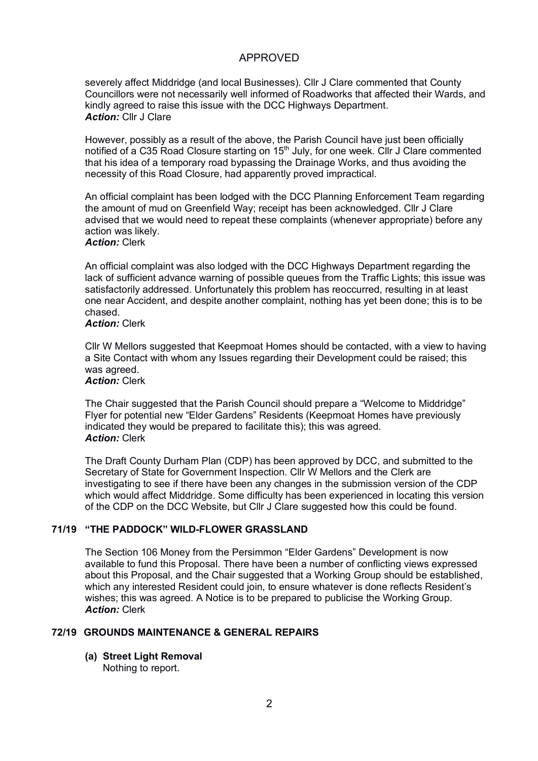## APPROVED

severely affect Middridge (and local Businesses). Cllr J Clare commented that County Councillors were not necessarily well informed of Roadworks that affected their Wards, and kindly agreed to raise this issue with the DCC Highways Department. *Action:* Cllr J Clare

However, possibly as a result of the above, the Parish Council have just been officially notified of a C35 Road Closure starting on 15<sup>th</sup> July, for one week. Cllr J Clare commented that his idea of a temporary road bypassing the Drainage Works, and thus avoiding the necessity of this Road Closure, had apparently proved impractical.

An official complaint has been lodged with the DCC Planning Enforcement Team regarding the amount of mud on Greenfield Way; receipt has been acknowledged. Cllr J Clare advised that we would need to repeat these complaints (whenever appropriate) before any action was likely.

## *Action:* Clerk

An official complaint was also lodged with the DCC Highways Department regarding the lack of sufficient advance warning of possible queues from the Traffic Lights; this issue was satisfactorily addressed. Unfortunately this problem has reoccurred, resulting in at least one near Accident, and despite another complaint, nothing has yet been done; this is to be chased.

#### *Action:* Clerk

Cllr W Mellors suggested that Keepmoat Homes should be contacted, with a view to having a Site Contact with whom any Issues regarding their Development could be raised; this was agreed. *Action:* Clerk

The Chair suggested that the Parish Council should prepare a "Welcome to Middridge" Flyer for potential new "Elder Gardens" Residents (Keepmoat Homes have previously indicated they would be prepared to facilitate this); this was agreed. *Action:* Clerk

The Draft County Durham Plan (CDP) has been approved by DCC, and submitted to the Secretary of State for Government Inspection. Cllr W Mellors and the Clerk are investigating to see if there have been any changes in the submission version of the CDP which would affect Middridge. Some difficulty has been experienced in locating this version of the CDP on the DCC Website, but Cllr J Clare suggested how this could be found.

#### **71/19 "THE PADDOCK" WILD-FLOWER GRASSLAND**

The Section 106 Money from the Persimmon "Elder Gardens" Development is now available to fund this Proposal. There have been a number of conflicting views expressed about this Proposal, and the Chair suggested that a Working Group should be established, which any interested Resident could join, to ensure whatever is done reflects Resident's wishes; this was agreed. A Notice is to be prepared to publicise the Working Group. *Action:* Clerk

#### **72/19 GROUNDS MAINTENANCE & GENERAL REPAIRS**

**(a) Street Light Removal**

Nothing to report.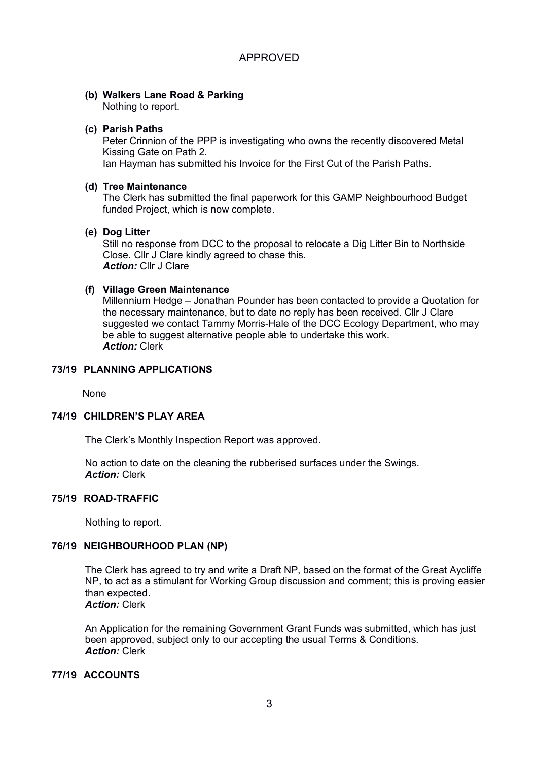# **(b) Walkers Lane Road & Parking**

Nothing to report.

## **(c) Parish Paths**

Peter Crinnion of the PPP is investigating who owns the recently discovered Metal Kissing Gate on Path 2.

Ian Hayman has submitted his Invoice for the First Cut of the Parish Paths.

## **(d) Tree Maintenance**

The Clerk has submitted the final paperwork for this GAMP Neighbourhood Budget funded Project, which is now complete.

## **(e) Dog Litter**

Still no response from DCC to the proposal to relocate a Dig Litter Bin to Northside Close. Cllr J Clare kindly agreed to chase this. *Action:* Cllr J Clare

## **(f) Village Green Maintenance**

Millennium Hedge – Jonathan Pounder has been contacted to provide a Quotation for the necessary maintenance, but to date no reply has been received. Cllr J Clare suggested we contact Tammy Morris-Hale of the DCC Ecology Department, who may be able to suggest alternative people able to undertake this work. *Action:* Clerk

## **73/19 PLANNING APPLICATIONS**

None

### **74/19 CHILDREN'S PLAY AREA**

The Clerk's Monthly Inspection Report was approved.

No action to date on the cleaning the rubberised surfaces under the Swings. *Action:* Clerk

### **75/19 ROAD-TRAFFIC**

Nothing to report.

### **76/19 NEIGHBOURHOOD PLAN (NP)**

The Clerk has agreed to try and write a Draft NP, based on the format of the Great Aycliffe NP, to act as a stimulant for Working Group discussion and comment; this is proving easier than expected. *Action:* Clerk

An Application for the remaining Government Grant Funds was submitted, which has just been approved, subject only to our accepting the usual Terms & Conditions. *Action:* Clerk

## **77/19 ACCOUNTS**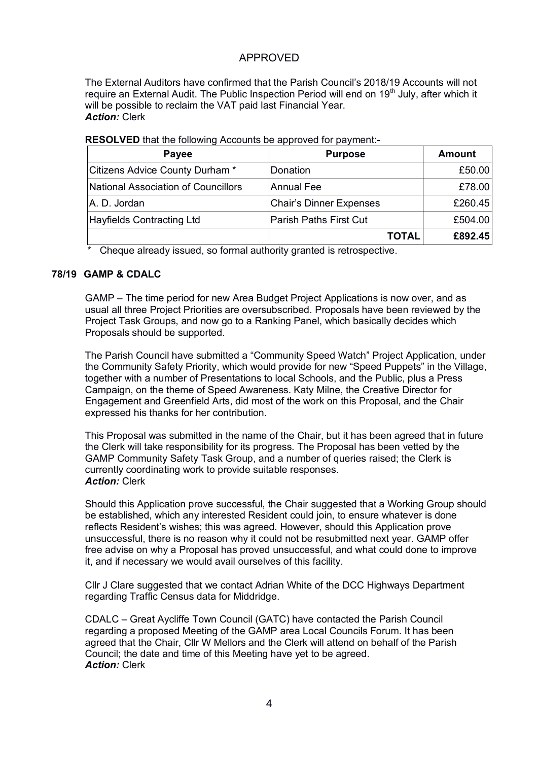## APPROVED

The External Auditors have confirmed that the Parish Council's 2018/19 Accounts will not require an External Audit. The Public Inspection Period will end on 19<sup>th</sup> July, after which it will be possible to reclaim the VAT paid last Financial Year. *Action:* Clerk

| Payee                               | <b>Purpose</b>                 | Amount  |
|-------------------------------------|--------------------------------|---------|
| Citizens Advice County Durham *     | Donation                       | £50.00  |
| National Association of Councillors | <b>Annual Fee</b>              | £78.00  |
| A. D. Jordan                        | <b>Chair's Dinner Expenses</b> | £260.45 |
| <b>Hayfields Contracting Ltd</b>    | <b>Parish Paths First Cut</b>  | £504.00 |
|                                     | TOTAL                          | £892.45 |

**RESOLVED** that the following Accounts be approved for payment:-

\* Cheque already issued, so formal authority granted is retrospective.

### **78/19 GAMP & CDALC**

GAMP – The time period for new Area Budget Project Applications is now over, and as usual all three Project Priorities are oversubscribed. Proposals have been reviewed by the Project Task Groups, and now go to a Ranking Panel, which basically decides which Proposals should be supported.

The Parish Council have submitted a "Community Speed Watch" Project Application, under the Community Safety Priority, which would provide for new "Speed Puppets" in the Village, together with a number of Presentations to local Schools, and the Public, plus a Press Campaign, on the theme of Speed Awareness. Katy Milne, the Creative Director for Engagement and Greenfield Arts, did most of the work on this Proposal, and the Chair expressed his thanks for her contribution.

This Proposal was submitted in the name of the Chair, but it has been agreed that in future the Clerk will take responsibility for its progress. The Proposal has been vetted by the GAMP Community Safety Task Group, and a number of queries raised; the Clerk is currently coordinating work to provide suitable responses. *Action:* Clerk

Should this Application prove successful, the Chair suggested that a Working Group should be established, which any interested Resident could join, to ensure whatever is done reflects Resident's wishes; this was agreed. However, should this Application prove unsuccessful, there is no reason why it could not be resubmitted next year. GAMP offer free advise on why a Proposal has proved unsuccessful, and what could done to improve it, and if necessary we would avail ourselves of this facility.

Cllr J Clare suggested that we contact Adrian White of the DCC Highways Department regarding Traffic Census data for Middridge.

CDALC – Great Aycliffe Town Council (GATC) have contacted the Parish Council regarding a proposed Meeting of the GAMP area Local Councils Forum. It has been agreed that the Chair, Cllr W Mellors and the Clerk will attend on behalf of the Parish Council; the date and time of this Meeting have yet to be agreed. *Action:* Clerk